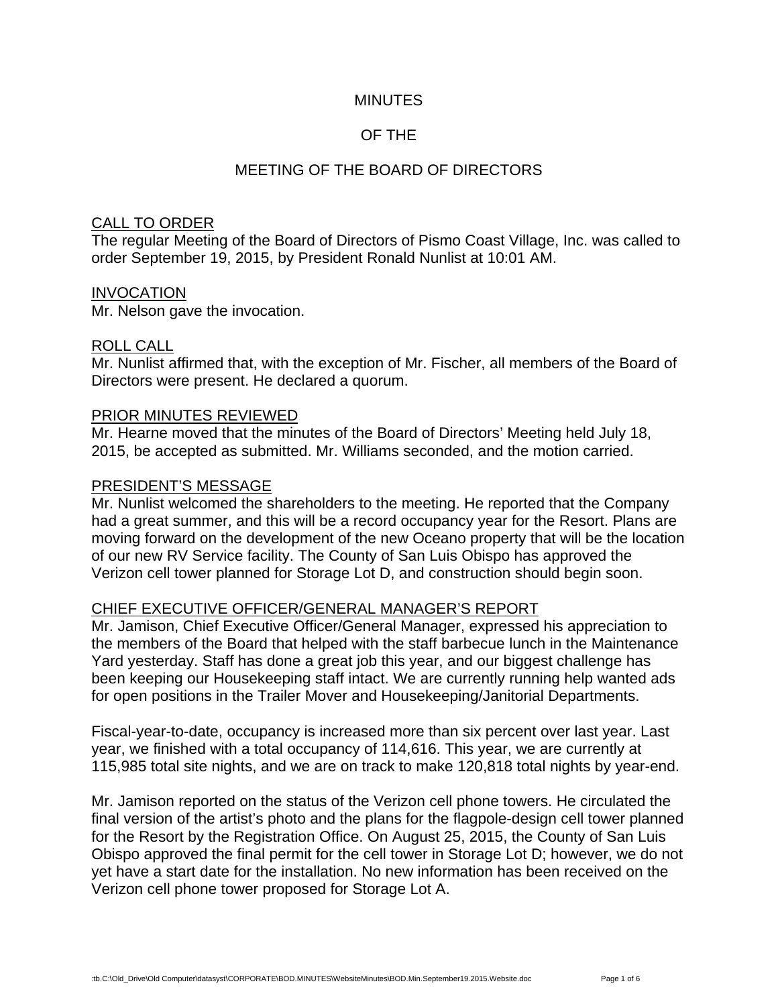## MINUTES

# OF THE

## MEETING OF THE BOARD OF DIRECTORS

#### CALL TO ORDER

The regular Meeting of the Board of Directors of Pismo Coast Village, Inc. was called to order September 19, 2015, by President Ronald Nunlist at 10:01 AM.

#### INVOCATION

Mr. Nelson gave the invocation.

#### ROLL CALL

Mr. Nunlist affirmed that, with the exception of Mr. Fischer, all members of the Board of Directors were present. He declared a quorum.

#### PRIOR MINUTES REVIEWED

Mr. Hearne moved that the minutes of the Board of Directors' Meeting held July 18, 2015, be accepted as submitted. Mr. Williams seconded, and the motion carried.

#### PRESIDENT'S MESSAGE

Mr. Nunlist welcomed the shareholders to the meeting. He reported that the Company had a great summer, and this will be a record occupancy year for the Resort. Plans are moving forward on the development of the new Oceano property that will be the location of our new RV Service facility. The County of San Luis Obispo has approved the Verizon cell tower planned for Storage Lot D, and construction should begin soon.

#### CHIEF EXECUTIVE OFFICER/GENERAL MANAGER'S REPORT

Mr. Jamison, Chief Executive Officer/General Manager, expressed his appreciation to the members of the Board that helped with the staff barbecue lunch in the Maintenance Yard yesterday. Staff has done a great job this year, and our biggest challenge has been keeping our Housekeeping staff intact. We are currently running help wanted ads for open positions in the Trailer Mover and Housekeeping/Janitorial Departments.

Fiscal-year-to-date, occupancy is increased more than six percent over last year. Last year, we finished with a total occupancy of 114,616. This year, we are currently at 115,985 total site nights, and we are on track to make 120,818 total nights by year-end.

Mr. Jamison reported on the status of the Verizon cell phone towers. He circulated the final version of the artist's photo and the plans for the flagpole-design cell tower planned for the Resort by the Registration Office. On August 25, 2015, the County of San Luis Obispo approved the final permit for the cell tower in Storage Lot D; however, we do not yet have a start date for the installation. No new information has been received on the Verizon cell phone tower proposed for Storage Lot A.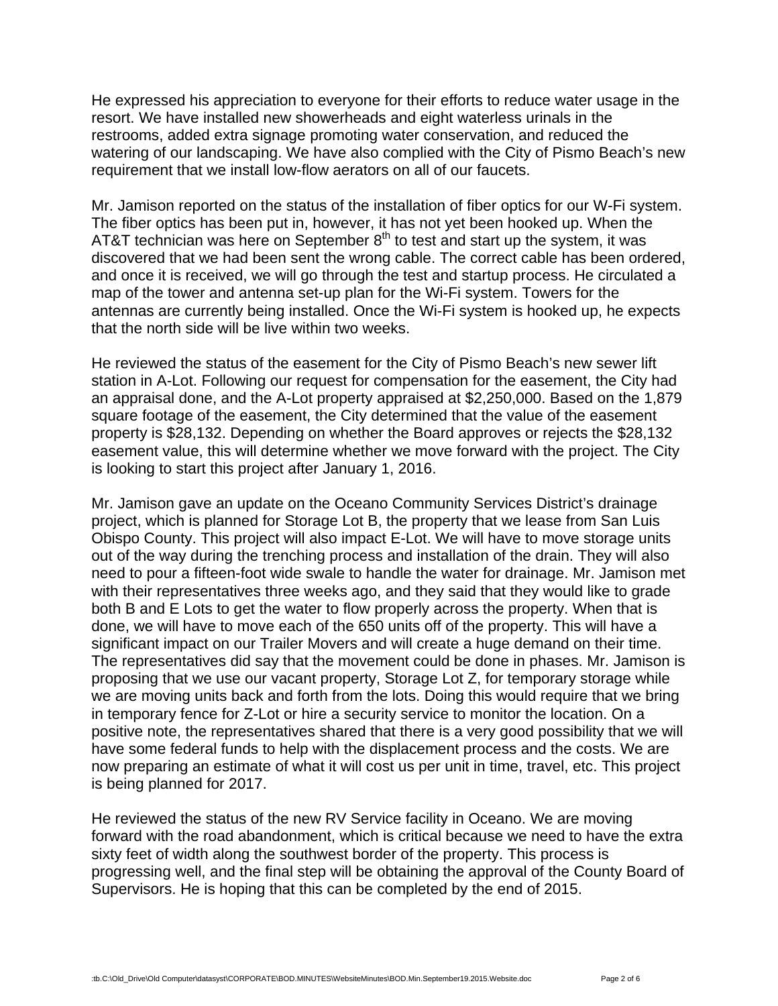He expressed his appreciation to everyone for their efforts to reduce water usage in the resort. We have installed new showerheads and eight waterless urinals in the restrooms, added extra signage promoting water conservation, and reduced the watering of our landscaping. We have also complied with the City of Pismo Beach's new requirement that we install low-flow aerators on all of our faucets.

Mr. Jamison reported on the status of the installation of fiber optics for our W-Fi system. The fiber optics has been put in, however, it has not yet been hooked up. When the AT&T technician was here on September  $8<sup>th</sup>$  to test and start up the system, it was discovered that we had been sent the wrong cable. The correct cable has been ordered, and once it is received, we will go through the test and startup process. He circulated a map of the tower and antenna set-up plan for the Wi-Fi system. Towers for the antennas are currently being installed. Once the Wi-Fi system is hooked up, he expects that the north side will be live within two weeks.

He reviewed the status of the easement for the City of Pismo Beach's new sewer lift station in A-Lot. Following our request for compensation for the easement, the City had an appraisal done, and the A-Lot property appraised at \$2,250,000. Based on the 1,879 square footage of the easement, the City determined that the value of the easement property is \$28,132. Depending on whether the Board approves or rejects the \$28,132 easement value, this will determine whether we move forward with the project. The City is looking to start this project after January 1, 2016.

Mr. Jamison gave an update on the Oceano Community Services District's drainage project, which is planned for Storage Lot B, the property that we lease from San Luis Obispo County. This project will also impact E-Lot. We will have to move storage units out of the way during the trenching process and installation of the drain. They will also need to pour a fifteen-foot wide swale to handle the water for drainage. Mr. Jamison met with their representatives three weeks ago, and they said that they would like to grade both B and E Lots to get the water to flow properly across the property. When that is done, we will have to move each of the 650 units off of the property. This will have a significant impact on our Trailer Movers and will create a huge demand on their time. The representatives did say that the movement could be done in phases. Mr. Jamison is proposing that we use our vacant property, Storage Lot Z, for temporary storage while we are moving units back and forth from the lots. Doing this would require that we bring in temporary fence for Z-Lot or hire a security service to monitor the location. On a positive note, the representatives shared that there is a very good possibility that we will have some federal funds to help with the displacement process and the costs. We are now preparing an estimate of what it will cost us per unit in time, travel, etc. This project is being planned for 2017.

He reviewed the status of the new RV Service facility in Oceano. We are moving forward with the road abandonment, which is critical because we need to have the extra sixty feet of width along the southwest border of the property. This process is progressing well, and the final step will be obtaining the approval of the County Board of Supervisors. He is hoping that this can be completed by the end of 2015.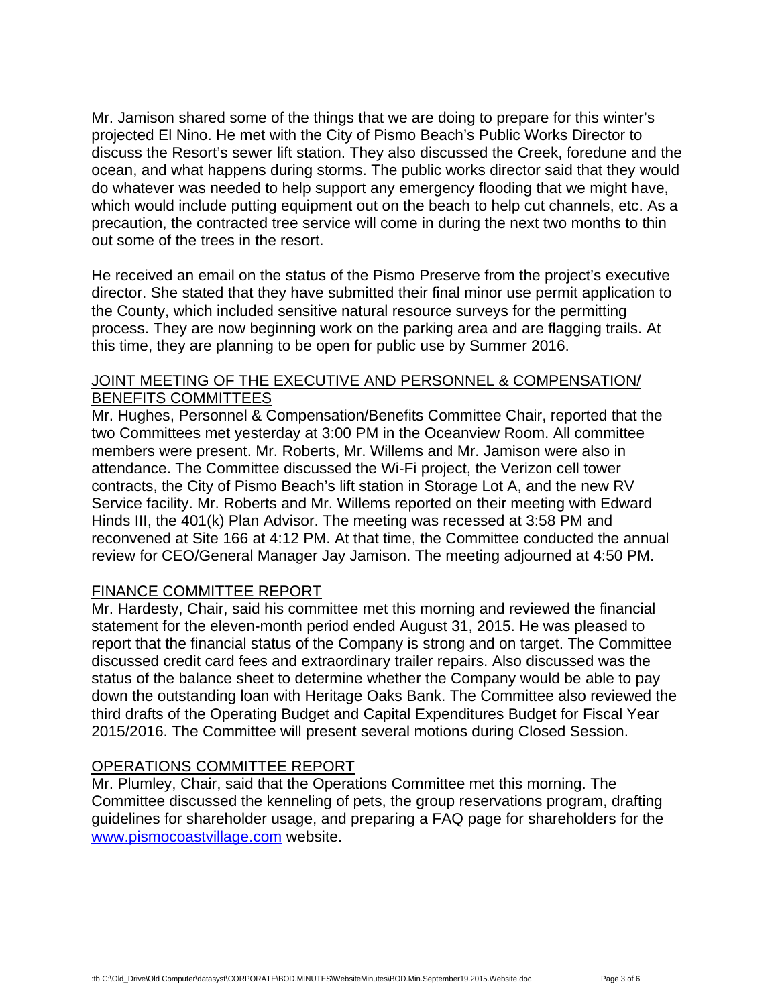Mr. Jamison shared some of the things that we are doing to prepare for this winter's projected El Nino. He met with the City of Pismo Beach's Public Works Director to discuss the Resort's sewer lift station. They also discussed the Creek, foredune and the ocean, and what happens during storms. The public works director said that they would do whatever was needed to help support any emergency flooding that we might have, which would include putting equipment out on the beach to help cut channels, etc. As a precaution, the contracted tree service will come in during the next two months to thin out some of the trees in the resort.

He received an email on the status of the Pismo Preserve from the project's executive director. She stated that they have submitted their final minor use permit application to the County, which included sensitive natural resource surveys for the permitting process. They are now beginning work on the parking area and are flagging trails. At this time, they are planning to be open for public use by Summer 2016.

# JOINT MEETING OF THE EXECUTIVE AND PERSONNEL & COMPENSATION/ BENEFITS COMMITTEES

Mr. Hughes, Personnel & Compensation/Benefits Committee Chair, reported that the two Committees met yesterday at 3:00 PM in the Oceanview Room. All committee members were present. Mr. Roberts, Mr. Willems and Mr. Jamison were also in attendance. The Committee discussed the Wi-Fi project, the Verizon cell tower contracts, the City of Pismo Beach's lift station in Storage Lot A, and the new RV Service facility. Mr. Roberts and Mr. Willems reported on their meeting with Edward Hinds III, the 401(k) Plan Advisor. The meeting was recessed at 3:58 PM and reconvened at Site 166 at 4:12 PM. At that time, the Committee conducted the annual review for CEO/General Manager Jay Jamison. The meeting adjourned at 4:50 PM.

# FINANCE COMMITTEE REPORT

Mr. Hardesty, Chair, said his committee met this morning and reviewed the financial statement for the eleven-month period ended August 31, 2015. He was pleased to report that the financial status of the Company is strong and on target. The Committee discussed credit card fees and extraordinary trailer repairs. Also discussed was the status of the balance sheet to determine whether the Company would be able to pay down the outstanding loan with Heritage Oaks Bank. The Committee also reviewed the third drafts of the Operating Budget and Capital Expenditures Budget for Fiscal Year 2015/2016. The Committee will present several motions during Closed Session.

# OPERATIONS COMMITTEE REPORT

Mr. Plumley, Chair, said that the Operations Committee met this morning. The Committee discussed the kenneling of pets, the group reservations program, drafting guidelines for shareholder usage, and preparing a FAQ page for shareholders for the [www.pismocoastvillage.com](http://www.pismocoastvillage.com/) website.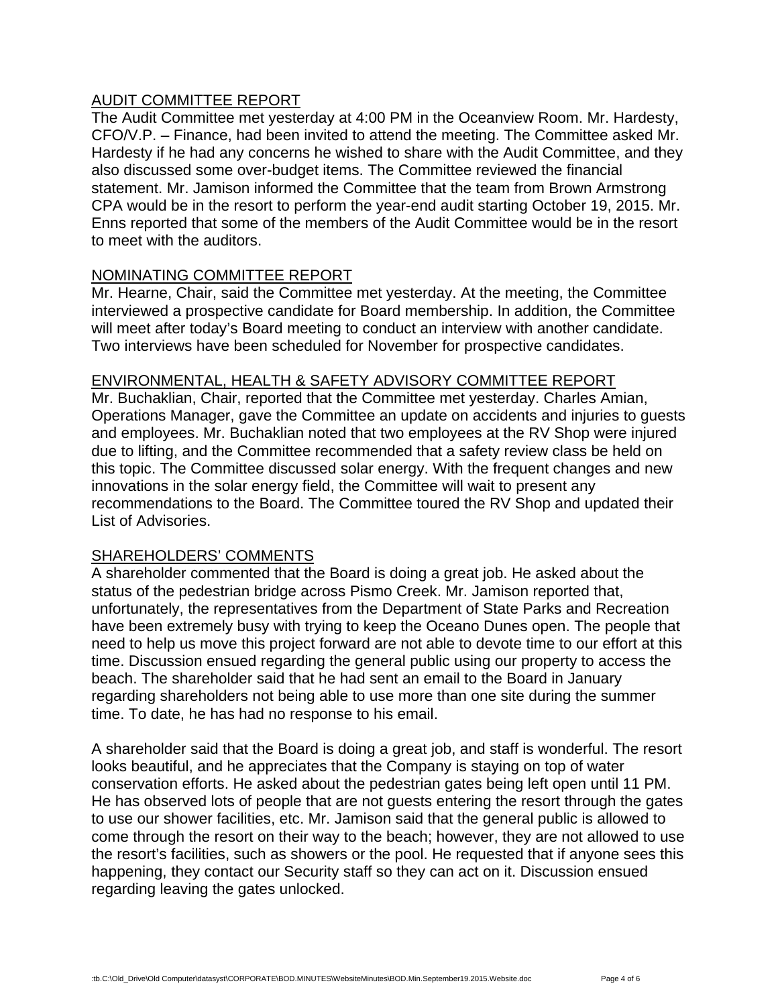# AUDIT COMMITTEE REPORT

The Audit Committee met yesterday at 4:00 PM in the Oceanview Room. Mr. Hardesty, CFO/V.P. – Finance, had been invited to attend the meeting. The Committee asked Mr. Hardesty if he had any concerns he wished to share with the Audit Committee, and they also discussed some over-budget items. The Committee reviewed the financial statement. Mr. Jamison informed the Committee that the team from Brown Armstrong CPA would be in the resort to perform the year-end audit starting October 19, 2015. Mr. Enns reported that some of the members of the Audit Committee would be in the resort to meet with the auditors.

## NOMINATING COMMITTEE REPORT

Mr. Hearne, Chair, said the Committee met yesterday. At the meeting, the Committee interviewed a prospective candidate for Board membership. In addition, the Committee will meet after today's Board meeting to conduct an interview with another candidate. Two interviews have been scheduled for November for prospective candidates.

#### ENVIRONMENTAL, HEALTH & SAFETY ADVISORY COMMITTEE REPORT

Mr. Buchaklian, Chair, reported that the Committee met yesterday. Charles Amian, Operations Manager, gave the Committee an update on accidents and injuries to guests and employees. Mr. Buchaklian noted that two employees at the RV Shop were injured due to lifting, and the Committee recommended that a safety review class be held on this topic. The Committee discussed solar energy. With the frequent changes and new innovations in the solar energy field, the Committee will wait to present any recommendations to the Board. The Committee toured the RV Shop and updated their List of Advisories.

#### SHAREHOLDERS' COMMENTS

A shareholder commented that the Board is doing a great job. He asked about the status of the pedestrian bridge across Pismo Creek. Mr. Jamison reported that, unfortunately, the representatives from the Department of State Parks and Recreation have been extremely busy with trying to keep the Oceano Dunes open. The people that need to help us move this project forward are not able to devote time to our effort at this time. Discussion ensued regarding the general public using our property to access the beach. The shareholder said that he had sent an email to the Board in January regarding shareholders not being able to use more than one site during the summer time. To date, he has had no response to his email.

A shareholder said that the Board is doing a great job, and staff is wonderful. The resort looks beautiful, and he appreciates that the Company is staying on top of water conservation efforts. He asked about the pedestrian gates being left open until 11 PM. He has observed lots of people that are not guests entering the resort through the gates to use our shower facilities, etc. Mr. Jamison said that the general public is allowed to come through the resort on their way to the beach; however, they are not allowed to use the resort's facilities, such as showers or the pool. He requested that if anyone sees this happening, they contact our Security staff so they can act on it. Discussion ensued regarding leaving the gates unlocked.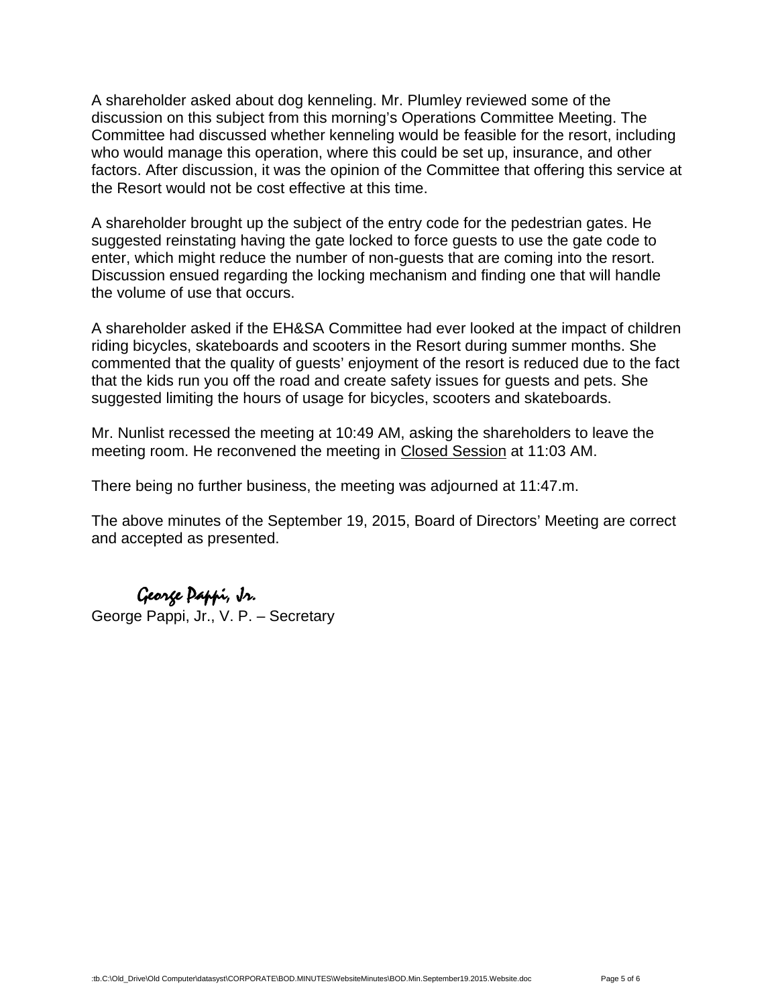A shareholder asked about dog kenneling. Mr. Plumley reviewed some of the discussion on this subject from this morning's Operations Committee Meeting. The Committee had discussed whether kenneling would be feasible for the resort, including who would manage this operation, where this could be set up, insurance, and other factors. After discussion, it was the opinion of the Committee that offering this service at the Resort would not be cost effective at this time.

A shareholder brought up the subject of the entry code for the pedestrian gates. He suggested reinstating having the gate locked to force guests to use the gate code to enter, which might reduce the number of non-guests that are coming into the resort. Discussion ensued regarding the locking mechanism and finding one that will handle the volume of use that occurs.

A shareholder asked if the EH&SA Committee had ever looked at the impact of children riding bicycles, skateboards and scooters in the Resort during summer months. She commented that the quality of guests' enjoyment of the resort is reduced due to the fact that the kids run you off the road and create safety issues for guests and pets. She suggested limiting the hours of usage for bicycles, scooters and skateboards.

Mr. Nunlist recessed the meeting at 10:49 AM, asking the shareholders to leave the meeting room. He reconvened the meeting in Closed Session at 11:03 AM.

There being no further business, the meeting was adjourned at 11:47.m.

The above minutes of the September 19, 2015, Board of Directors' Meeting are correct and accepted as presented.

# George Pappi, Jr.

George Pappi, Jr., V. P. – Secretary